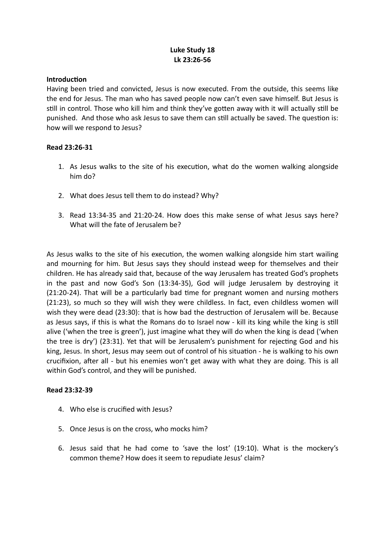# **Luke Study 18 Lk 23:26-56**

### **Introduction**

Having been tried and convicted, Jesus is now executed. From the outside, this seems like the end for Jesus. The man who has saved people now can't even save himself. But Jesus is still in control. Those who kill him and think they've gotten away with it will actually still be punished. And those who ask Jesus to save them can still actually be saved. The question is: how will we respond to Jesus?

## **Read 23:26-31**

- 1. As Jesus walks to the site of his execution, what do the women walking alongside him do?
- 2. What does Jesus tell them to do instead? Why?
- 3. Read 13:34-35 and 21:20-24. How does this make sense of what Jesus says here? What will the fate of Jerusalem be?

As Jesus walks to the site of his execution, the women walking alongside him start wailing and mourning for him. But Jesus says they should instead weep for themselves and their children. He has already said that, because of the way Jerusalem has treated God's prophets in the past and now God's Son (13:34-35), God will judge Jerusalem by destroying it (21:20-24). That will be a particularly bad time for pregnant women and nursing mothers (21:23), so much so they will wish they were childless. In fact, even childless women will wish they were dead (23:30): that is how bad the destruction of Jerusalem will be. Because as Jesus says, if this is what the Romans do to Israel now - kill its king while the king is still alive ('when the tree is green'), just imagine what they will do when the king is dead ('when the tree is dry') (23:31). Yet that will be Jerusalem's punishment for rejecting God and his king, Jesus. In short, Jesus may seem out of control of his situation - he is walking to his own crucifixion, after all - but his enemies won't get away with what they are doing. This is all within God's control, and they will be punished.

#### **Read 23:32-39**

- 4. Who else is crucified with Jesus?
- 5. Once Jesus is on the cross, who mocks him?
- 6. Jesus said that he had come to 'save the lost' (19:10). What is the mockery's common theme? How does it seem to repudiate Jesus' claim?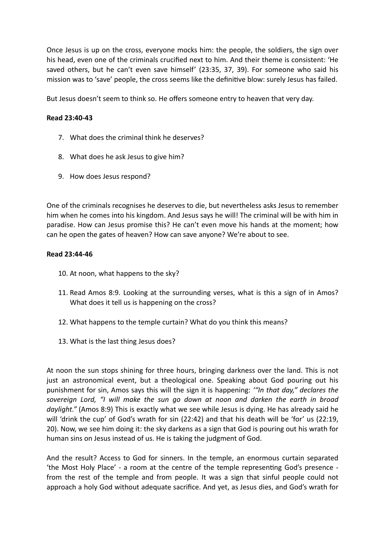Once Jesus is up on the cross, everyone mocks him: the people, the soldiers, the sign over his head, even one of the criminals crucified next to him. And their theme is consistent: 'He saved others, but he can't even save himself' (23:35, 37, 39). For someone who said his mission was to 'save' people, the cross seems like the definitive blow: surely Jesus has failed.

But Jesus doesn't seem to think so. He offers someone entry to heaven that very day.

## **Read 23:40-43**

- 7. What does the criminal think he deserves?
- 8. What does he ask Jesus to give him?
- 9. How does Jesus respond?

One of the criminals recognises he deserves to die, but nevertheless asks Jesus to remember him when he comes into his kingdom. And Jesus says he will! The criminal will be with him in paradise. How can Jesus promise this? He can't even move his hands at the moment; how can he open the gates of heaven? How can save anyone? We're about to see.

#### **Read 23:44-46**

- 10. At noon, what happens to the sky?
- 11. Read Amos 8:9. Looking at the surrounding verses, what is this a sign of in Amos? What does it tell us is happening on the cross?
- 12. What happens to the temple curtain? What do you think this means?
- 13. What is the last thing Jesus does?

At noon the sun stops shining for three hours, bringing darkness over the land. This is not just an astronomical event, but a theological one. Speaking about God pouring out his punishment for sin, Amos says this will the sign it is happening: *'"In that day," declares the sovereign Lord, "I will make the sun go down at noon and darken the earth in broad daylight."* (Amos 8:9) This is exactly what we see while Jesus is dying. He has already said he will 'drink the cup' of God's wrath for sin (22:42) and that his death will be 'for' us (22:19, 20). Now, we see him doing it: the sky darkens as a sign that God is pouring out his wrath for human sins on Jesus instead of us. He is taking the judgment of God.

And the result? Access to God for sinners. In the temple, an enormous curtain separated 'the Most Holy Place' - a room at the centre of the temple representing God's presence from the rest of the temple and from people. It was a sign that sinful people could not approach a holy God without adequate sacrifice. And yet, as Jesus dies, and God's wrath for